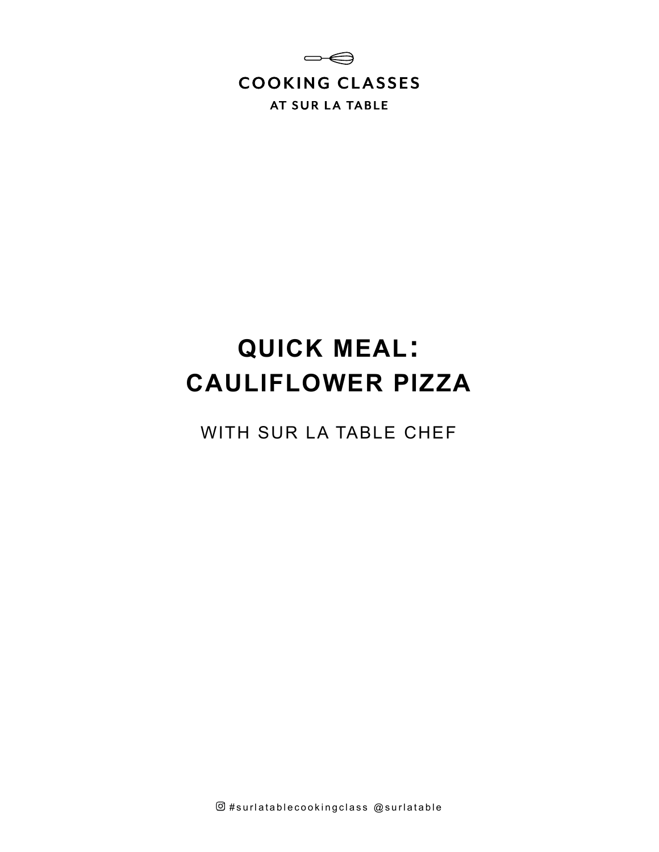

# **QUICK MEAL: CAULIFLOWER PIZZA**

WITH SUR LA TABLE CHEF

 $@$ #surlatablecookingclass  $@$ surlatable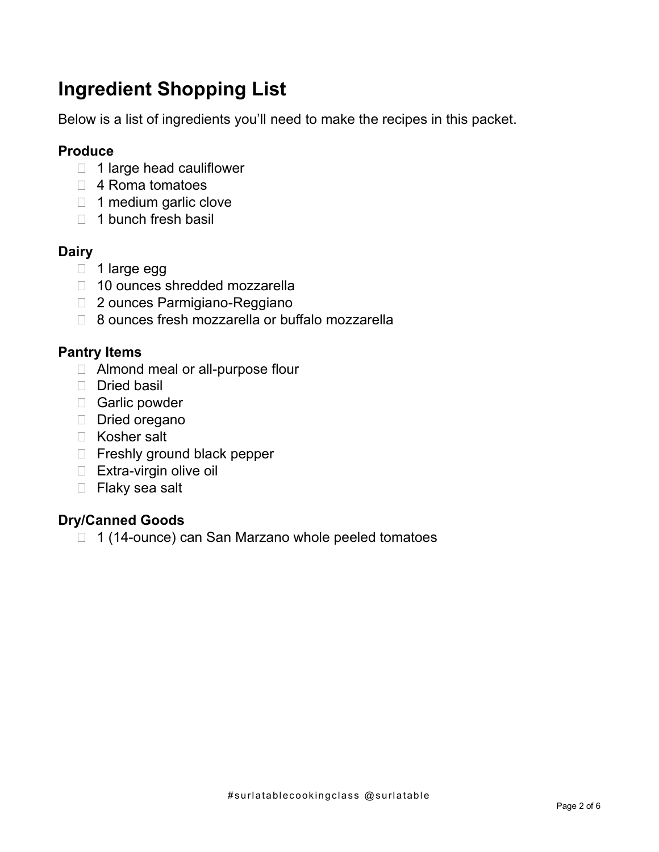# **Ingredient Shopping List**

Below is a list of ingredients you'll need to make the recipes in this packet.

#### **Produce**

- $\Box$  1 large head cauliflower
- □ 4 Roma tomatoes
- $\Box$  1 medium garlic clove
- $\Box$  1 bunch fresh basil

### **Dairy**

- $\Box$  1 large egg
- □ 10 ounces shredded mozzarella
- □ 2 ounces Parmigiano-Reggiano
- □ 8 ounces fresh mozzarella or buffalo mozzarella

#### **Pantry Items**

- □ Almond meal or all-purpose flour
- $\Box$  Dried basil
- □ Garlic powder
- Dried oregano
- □ Kosher salt
- □ Freshly ground black pepper
- □ Extra-virgin olive oil
- □ Flaky sea salt

#### **Dry/Canned Goods**

□ 1 (14-ounce) can San Marzano whole peeled tomatoes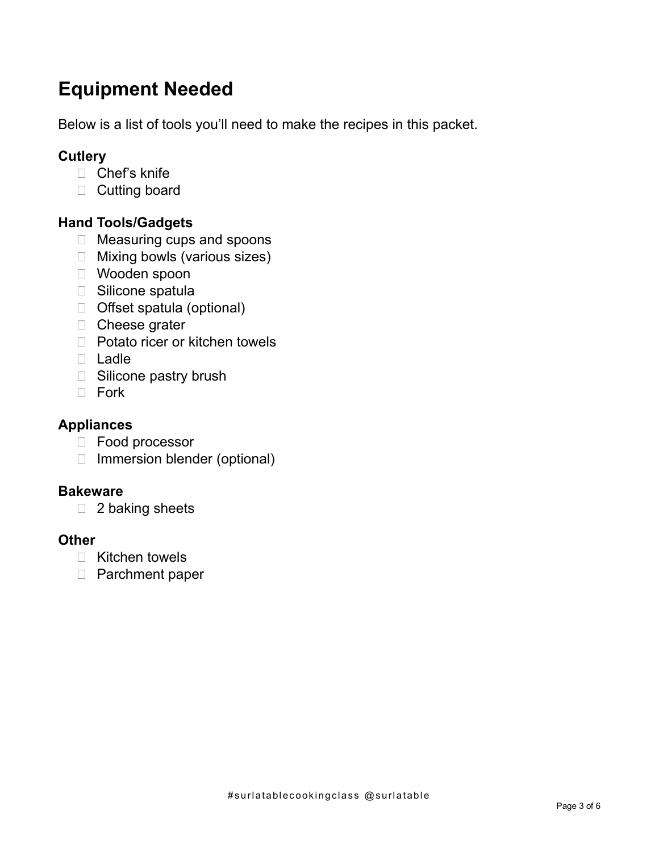# **Equipment Needed**

Below is a list of tools you'll need to make the recipes in this packet.

### **Cutlery**

- □ Chef's knife
- D Cutting board

### **Hand Tools/Gadgets**

- □ Measuring cups and spoons
- □ Mixing bowls (various sizes)
- Wooden spoon
- □ Silicone spatula
- □ Offset spatula (optional)
- □ Cheese grater
- $\Box$  Potato ricer or kitchen towels
- Ladle
- □ Silicone pastry brush
- D Fork

#### **Appliances**

- Food processor
- □ Immersion blender (optional)

#### **Bakeware**

 $\Box$  2 baking sheets

#### **Other**

- □ Kitchen towels
- □ Parchment paper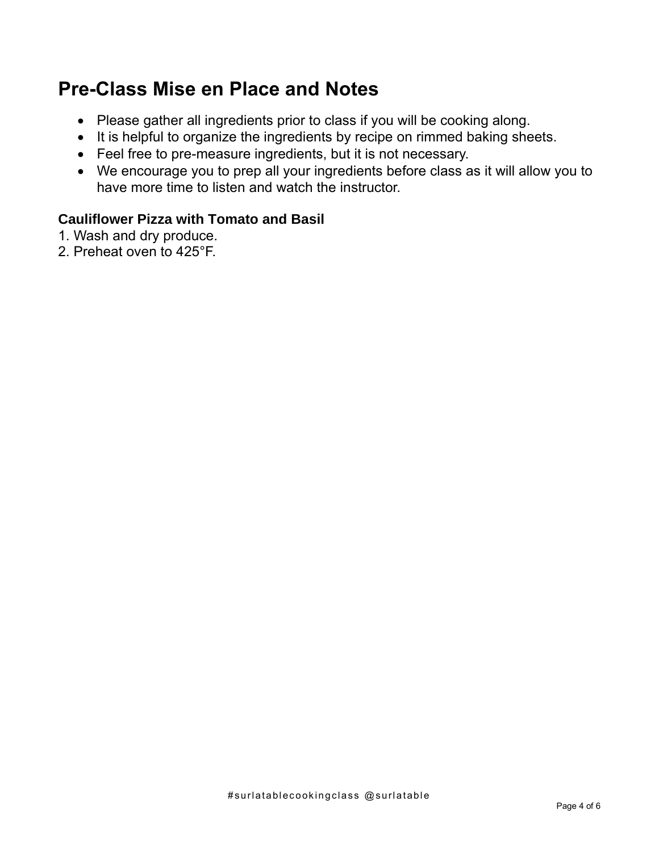## **Pre-Class Mise en Place and Notes**

- Please gather all ingredients prior to class if you will be cooking along.
- It is helpful to organize the ingredients by recipe on rimmed baking sheets.
- Feel free to pre-measure ingredients, but it is not necessary.
- We encourage you to prep all your ingredients before class as it will allow you to have more time to listen and watch the instructor.

#### **Cauliflower Pizza with Tomato and Basil**

- 1. Wash and dry produce.
- 2. Preheat oven to 425°F.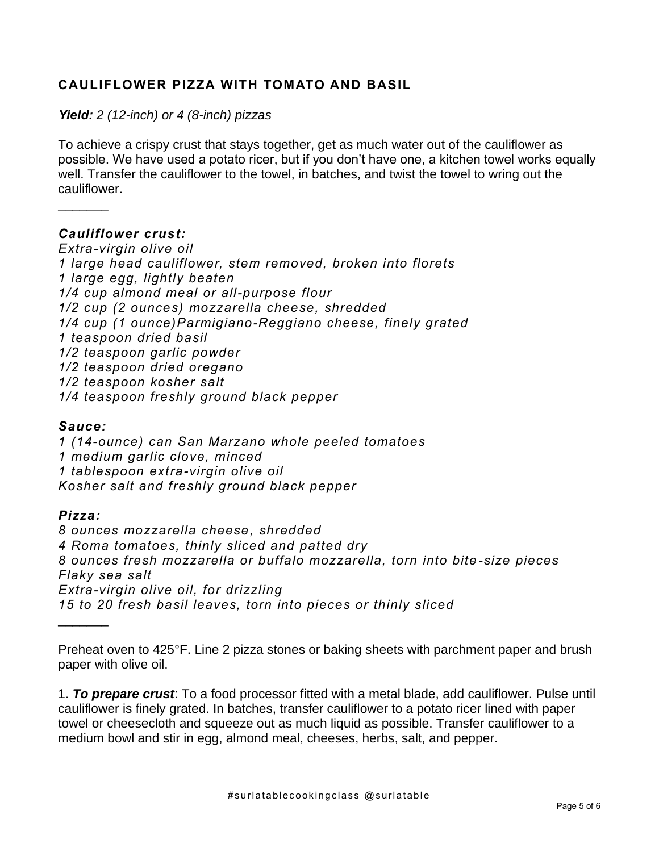#### **CAULIFLOWER PIZZA WITH TOMATO AND BASIL**

*Yield: 2 (12-inch) or 4 (8-inch) pizzas*

To achieve a crispy crust that stays together, get as much water out of the cauliflower as possible. We have used a potato ricer, but if you don't have one, a kitchen towel works equally well. Transfer the cauliflower to the towel, in batches, and twist the towel to wring out the cauliflower.

#### *Cauliflower crust:*

*Extra-virgin olive oil 1 large head cauliflower, stem removed, broken into florets 1 large egg, lightly beaten 1/4 cup almond meal or all-purpose flour 1/2 cup (2 ounces) mozzarella cheese, shredded 1/4 cup (1 ounce)Parmigiano-Reggiano cheese, finely grated 1 teaspoon dried basil 1/2 teaspoon garlic powder 1/2 teaspoon dried oregano 1/2 teaspoon kosher salt 1/4 teaspoon freshly ground black pepper*

#### *Sauce:*

 $\frac{1}{2}$ 

*1 (14-ounce) can San Marzano whole peeled tomatoes 1 medium garlic clove, minced 1 tablespoon extra-virgin olive oil Kosher salt and freshly ground black pepper*

#### *Pizza:*

*8 ounces mozzarella cheese, shredded 4 Roma tomatoes, thinly sliced and patted dry 8 ounces fresh mozzarella or buffalo mozzarella, torn into bite -size pieces Flaky sea salt Extra-virgin olive oil, for drizzling 15 to 20 fresh basil leaves, torn into pieces or thinly sliced*  $\frac{1}{2}$ 

Preheat oven to 425°F. Line 2 pizza stones or baking sheets with parchment paper and brush paper with olive oil.

1. *To prepare crust*: To a food processor fitted with a metal blade, add cauliflower. Pulse until cauliflower is finely grated. In batches, transfer cauliflower to a potato ricer lined with paper towel or cheesecloth and squeeze out as much liquid as possible. Transfer cauliflower to a medium bowl and stir in egg, almond meal, cheeses, herbs, salt, and pepper.